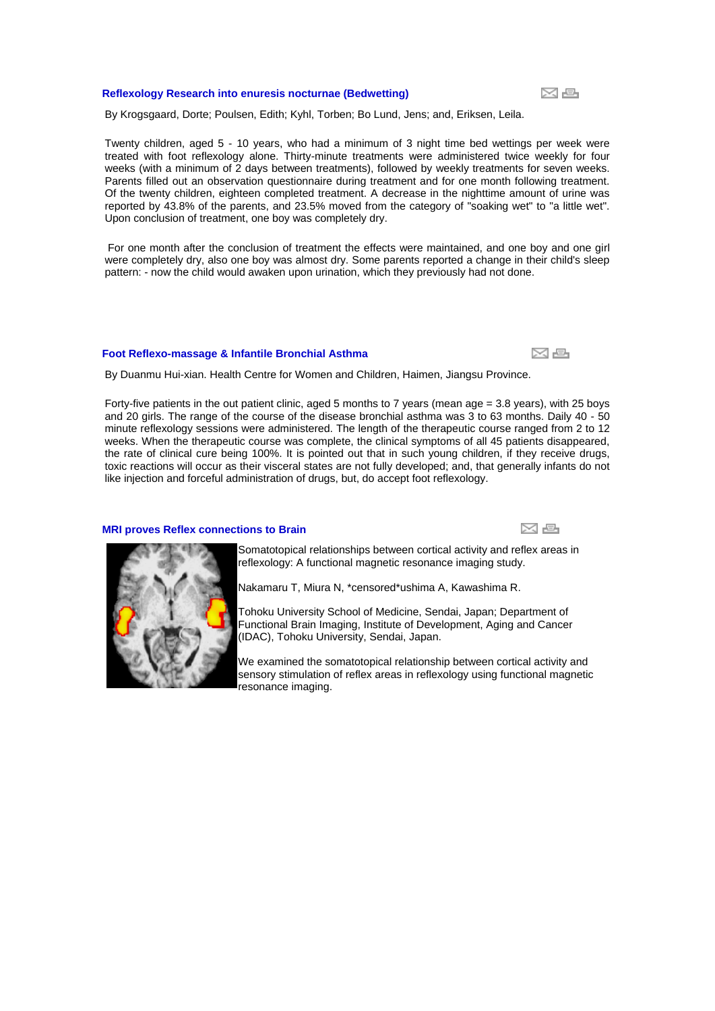### **[Reflexology Research into enuresis nocturnae \(Bedwetting\)](http://www.universalreflex.com/article.php?story=20040322162115404)**

By Krogsgaard, Dorte; Poulsen, Edith; Kyhl, Torben; Bo Lund, Jens; and, Eriksen, Leila.

Twenty children, aged 5 - 10 years, who had a minimum of 3 night time bed wettings per week were treated with foot reflexology alone. Thirty-minute treatments were administered twice weekly for four weeks (with a minimum of 2 days between treatments), followed by weekly treatments for seven weeks. Parents filled out an observation questionnaire during treatment and for one month following treatment. Of the twenty children, eighteen completed treatment. A decrease in the nighttime amount of urine was reported by 43.8% of the parents, and 23.5% moved from the category of "soaking wet" to "a little wet". Upon conclusion of treatment, one boy was completely dry.

For one month after the conclusion of treatment the effects were maintained, and one boy and one girl were completely dry, also one boy was almost dry. Some parents reported a change in their child's sleep pattern: - now the child would awaken upon urination, which they previously had not done.

#### **[Foot Reflexo-massage & Infantile Bronchial Asthma](http://www.universalreflex.com/article.php?story=20040322162653555)**

By Duanmu Hui-xian. Health Centre for Women and Children, Haimen, Jiangsu Province.

Forty-five patients in the out patient clinic, aged 5 months to 7 years (mean age = 3.8 years), with 25 boys and 20 girls. The range of the course of the disease bronchial asthma was 3 to 63 months. Daily 40 - 50 minute reflexology sessions were administered. The length of the therapeutic course ranged from 2 to 12 weeks. When the therapeutic course was complete, the clinical symptoms of all 45 patients disappeared, the rate of clinical cure being 100%. It is pointed out that in such young children, if they receive drugs, toxic reactions will occur as their visceral states are not fully developed; and, that generally infants do not like injection and forceful administration of drugs, but, do accept foot reflexology.

### **[MRI proves Reflex connections to Brain](http://www.universalreflex.com/article.php?story=20081106105728278)**

Somatotopical relationships between cortical activity and reflex areas in reflexology: A functional magnetic resonance imaging study.

Nakamaru T, Miura N, \*censored\*ushima A, Kawashima R.

Tohoku University School of Medicine, Sendai, Japan; Department of Functional Brain Imaging, Institute of Development, Aging and Cancer (IDAC), Tohoku University, Sendai, Japan.

We examined the somatotopical relationship between cortical activity and sensory stimulation of reflex areas in reflexology using functional magnetic resonance imaging.







x e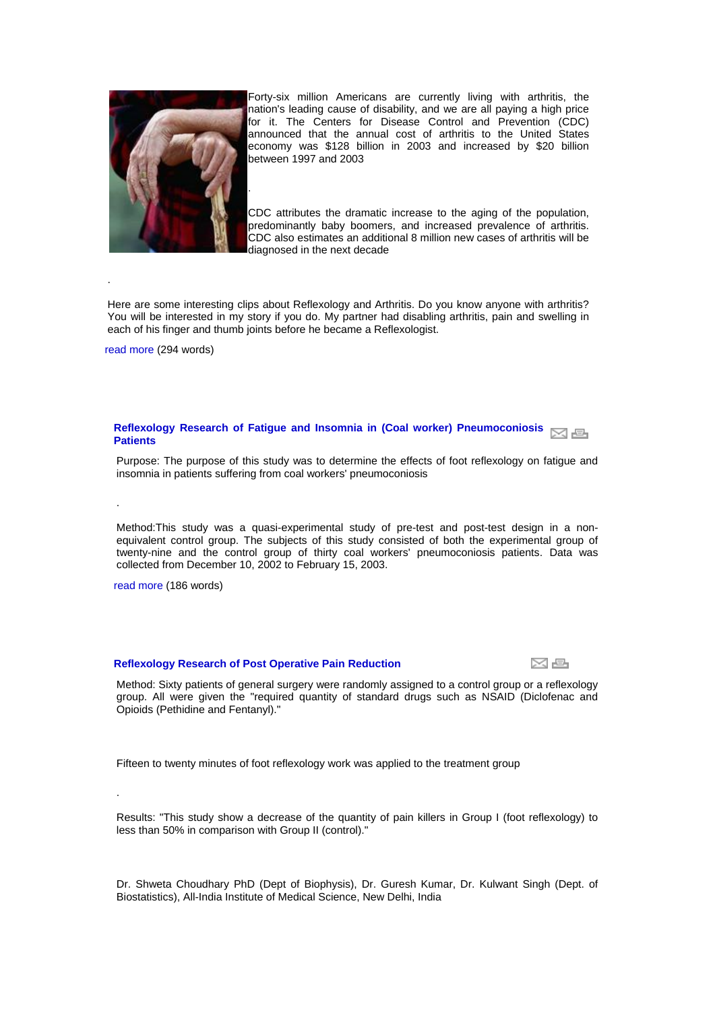

Forty-six million Americans are currently living with arthritis, the nation's leading cause of disability, and we are all paying a high price for it. The Centers for Disease Control and Prevention (CDC) announced that the annual cost of arthritis to the United States economy was \$128 billion in 2003 and increased by \$20 billion between 1997 and 2003

CDC attributes the dramatic increase to the aging of the population, predominantly baby boomers, and increased prevalence of arthritis. CDC also estimates an additional 8 million new cases of arthritis will be diagnosed in the next decade

Here are some interesting clips about Reflexology and Arthritis. Do you know anyone with arthritis? You will be interested in my story if you do. My partner had disabling arthritis, pain and swelling in each of his finger and thumb joints before he became a Reflexologist.

[read more](http://www.universalreflex.com/article.php/2008050517184853) (294 words)

.

.

.

# **Reflexology Research of Fatigue and Insomnia in (Coal worker) Pneumoconiosis**  $\boxdot$  a **[Patients](http://www.universalreflex.com/article.php?story=20060316144829601)**

Purpose: The purpose of this study was to determine the effects of foot reflexology on fatigue and insomnia in patients suffering from coal workers' pneumoconiosis

Method:This study was a quasi-experimental study of pre-test and post-test design in a nonequivalent control group. The subjects of this study consisted of both the experimental group of twenty-nine and the control group of thirty coal workers' pneumoconiosis patients. Data was collected from December 10, 2002 to February 15, 2003.

[read more](http://www.universalreflex.com/article.php/20060316144829601) (186 words)

#### **[Reflexology Research of Post Operative Pain Reduction](http://www.universalreflex.com/article.php?story=20060316144636570)**

x e

Method: Sixty patients of general surgery were randomly assigned to a control group or a reflexology group. All were given the "required quantity of standard drugs such as NSAID (Diclofenac and Opioids (Pethidine and Fentanyl)."

Fifteen to twenty minutes of foot reflexology work was applied to the treatment group

Results: "This study show a decrease of the quantity of pain killers in Group I (foot reflexology) to less than 50% in comparison with Group II (control)."

Dr. Shweta Choudhary PhD (Dept of Biophysis), Dr. Guresh Kumar, Dr. Kulwant Singh (Dept. of Biostatistics), All-India Institute of Medical Science, New Delhi, India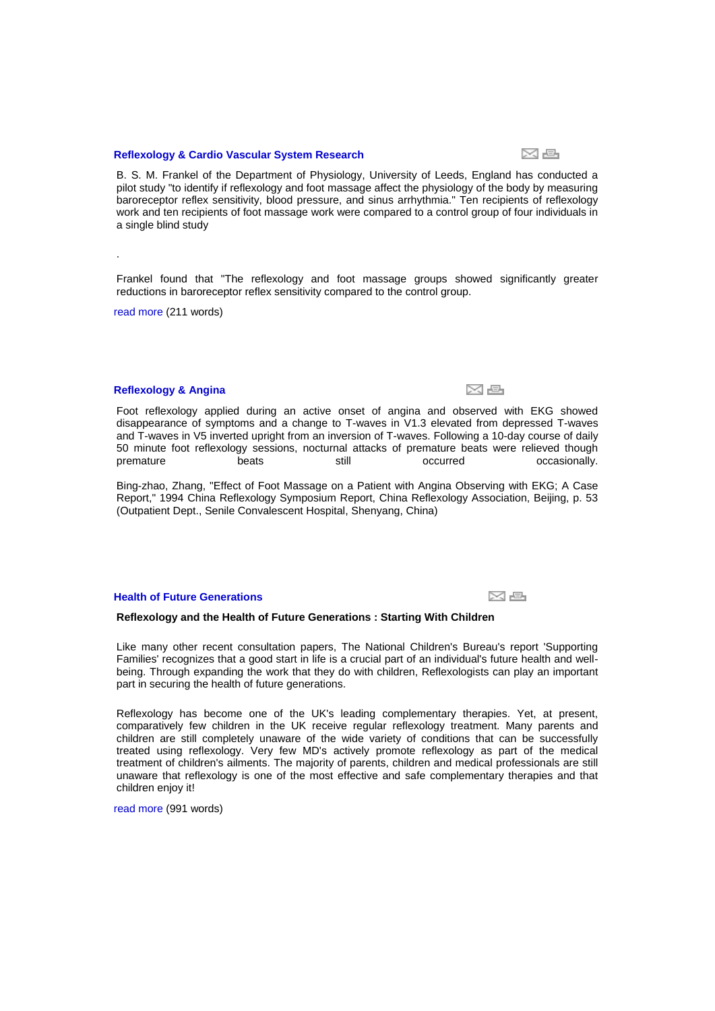#### **[Reflexology & Cardio Vascular System Research](http://www.universalreflex.com/article.php?story=20051102161236276)**

B. S. M. Frankel of the Department of Physiology, University of Leeds, England has conducted a pilot study "to identify if reflexology and foot massage affect the physiology of the body by measuring baroreceptor reflex sensitivity, blood pressure, and sinus arrhythmia." Ten recipients of reflexology work and ten recipients of foot massage work were compared to a control group of four individuals in a single blind study

Frankel found that "The reflexology and foot massage groups showed significantly greater reductions in baroreceptor reflex sensitivity compared to the control group.

[read more](http://www.universalreflex.com/article.php/20051102161236276) (211 words)

.

### **[Reflexology & Angina](http://www.universalreflex.com/article.php?story=20051102160853554)**

Foot reflexology applied during an active onset of angina and observed with EKG showed disappearance of symptoms and a change to T-waves in V1.3 elevated from depressed T-waves and T-waves in V5 inverted upright from an inversion of T-waves. Following a 10-day course of daily 50 minute foot reflexology sessions, nocturnal attacks of premature beats were relieved though premature beats beats still occurred occasionally.

Bing-zhao, Zhang, "Effect of Foot Massage on a Patient with Angina Observing with EKG; A Case Report," 1994 China Reflexology Symposium Report, China Reflexology Association, Beijing, p. 53 (Outpatient Dept., Senile Convalescent Hospital, Shenyang, China)

# **[Health of Future Generations](http://www.universalreflex.com/article.php?story=200403251340412)**

#### **Reflexology and the Health of Future Generations : Starting With Children**

Like many other recent consultation papers, The National Children's Bureau's report 'Supporting Families' recognizes that a good start in life is a crucial part of an individual's future health and wellbeing. Through expanding the work that they do with children, Reflexologists can play an important part in securing the health of future generations.

Reflexology has become one of the UK's leading complementary therapies. Yet, at present, comparatively few children in the UK receive regular reflexology treatment. Many parents and children are still completely unaware of the wide variety of conditions that can be successfully treated using reflexology. Very few MD's actively promote reflexology as part of the medical treatment of children's ailments. The majority of parents, children and medical professionals are still unaware that reflexology is one of the most effective and safe complementary therapies and that children enjoy it!

[read more](http://www.universalreflex.com/article.php/200403251340412) (991 words)

x s

정 준

s k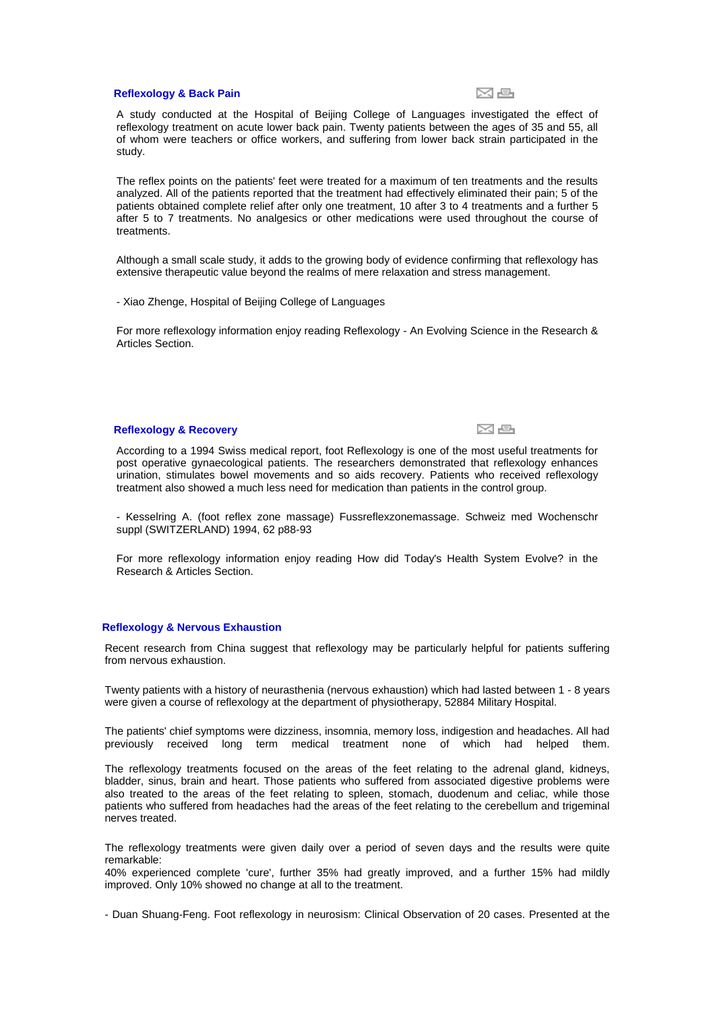#### **[Reflexology & Back Pain](http://www.universalreflex.com/article.php?story=20040322213355999)**



k e

A study conducted at the Hospital of Beijing College of Languages investigated the effect of reflexology treatment on acute lower back pain. Twenty patients between the ages of 35 and 55, all of whom were teachers or office workers, and suffering from lower back strain participated in the study.

The reflex points on the patients' feet were treated for a maximum of ten treatments and the results analyzed. All of the patients reported that the treatment had effectively eliminated their pain; 5 of the patients obtained complete relief after only one treatment, 10 after 3 to 4 treatments and a further 5 after 5 to 7 treatments. No analgesics or other medications were used throughout the course of treatments.

Although a small scale study, it adds to the growing body of evidence confirming that reflexology has extensive therapeutic value beyond the realms of mere relaxation and stress management.

- Xiao Zhenge, Hospital of Beijing College of Languages

For more reflexology information enjoy reading Reflexology - An Evolving Science in the Research & Articles Section.

# **[Reflexology & Recovery](http://www.universalreflex.com/article.php?story=20040322213220888)**

According to a 1994 Swiss medical report, foot Reflexology is one of the most useful treatments for post operative gynaecological patients. The researchers demonstrated that reflexology enhances urination, stimulates bowel movements and so aids recovery. Patients who received reflexology treatment also showed a much less need for medication than patients in the control group.

- Kesselring A. (foot reflex zone massage) Fussreflexzonemassage. Schweiz med Wochenschr suppl (SWITZERLAND) 1994, 62 p88-93

For more reflexology information enjoy reading How did Today's Health System Evolve? in the Research & Articles Section.

#### **[Reflexology & Nervous Exhaustion](http://www.universalreflex.com/article.php?story=2004032221294851)**

Recent research from China suggest that reflexology may be particularly helpful for patients suffering from nervous exhaustion.

Twenty patients with a history of neurasthenia (nervous exhaustion) which had lasted between 1 - 8 years were given a course of reflexology at the department of physiotherapy, 52884 Military Hospital.

The patients' chief symptoms were dizziness, insomnia, memory loss, indigestion and headaches. All had previously received long term medical treatment none of which had helped them.

The reflexology treatments focused on the areas of the feet relating to the adrenal gland, kidneys, bladder, sinus, brain and heart. Those patients who suffered from associated digestive problems were also treated to the areas of the feet relating to spleen, stomach, duodenum and celiac, while those patients who suffered from headaches had the areas of the feet relating to the cerebellum and trigeminal nerves treated.

The reflexology treatments were given daily over a period of seven days and the results were quite remarkable:

40% experienced complete 'cure', further 35% had greatly improved, and a further 15% had mildly improved. Only 10% showed no change at all to the treatment.

- Duan Shuang-Feng. Foot reflexology in neurosism: Clinical Observation of 20 cases. Presented at the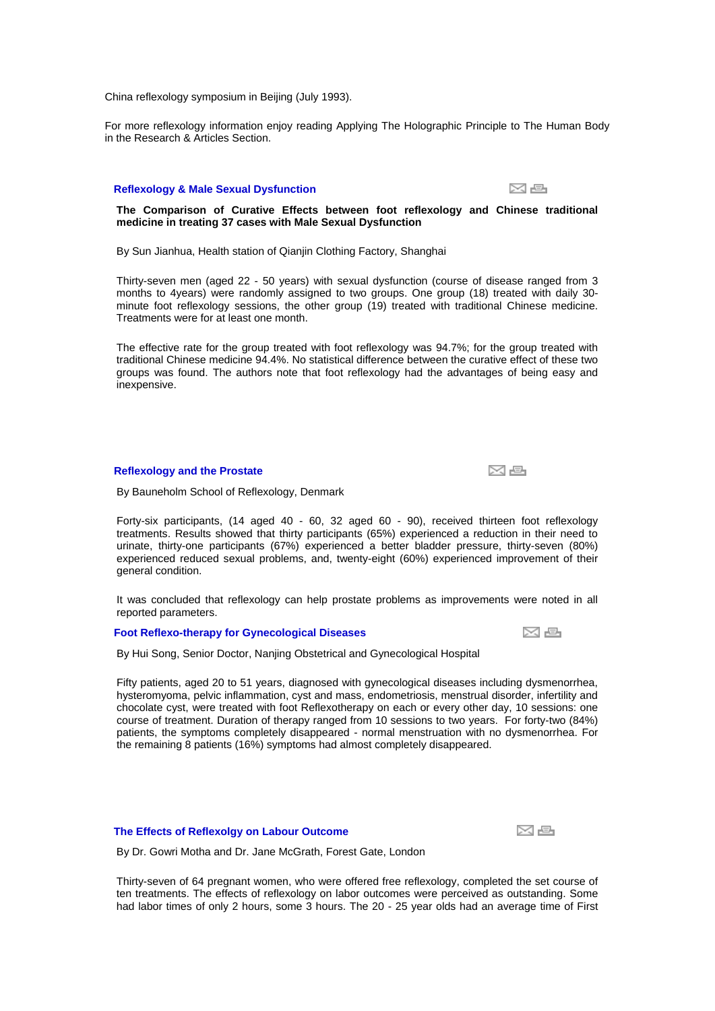China reflexology symposium in Beijing (July 1993).

For more reflexology information enjoy reading Applying The Holographic Principle to The Human Body in the Research & Articles Section.

# **[Reflexology & Male Sexual Dysfunction](http://www.universalreflex.com/article.php?story=20040322161049396)**



# **The Comparison of Curative Effects between foot reflexology and Chinese traditional medicine in treating 37 cases with Male Sexual Dysfunction**

By Sun Jianhua, Health station of Qianjin Clothing Factory, Shanghai

Thirty-seven men (aged 22 - 50 years) with sexual dysfunction (course of disease ranged from 3 months to 4years) were randomly assigned to two groups. One group (18) treated with daily 30 minute foot reflexology sessions, the other group (19) treated with traditional Chinese medicine. Treatments were for at least one month.

The effective rate for the group treated with foot reflexology was 94.7%; for the group treated with traditional Chinese medicine 94.4%. No statistical difference between the curative effect of these two groups was found. The authors note that foot reflexology had the advantages of being easy and inexpensive.

### **[Reflexology and the Prostate](http://www.universalreflex.com/article.php?story=20040322160333508)**

By Bauneholm School of Reflexology, Denmark

Forty-six participants, (14 aged 40 - 60, 32 aged 60 - 90), received thirteen foot reflexology treatments. Results showed that thirty participants (65%) experienced a reduction in their need to urinate, thirty-one participants (67%) experienced a better bladder pressure, thirty-seven (80%) experienced reduced sexual problems, and, twenty-eight (60%) experienced improvement of their general condition.

It was concluded that reflexology can help prostate problems as improvements were noted in all reported parameters.

### **[Foot Reflexo-therapy for Gynecological Diseases](http://www.universalreflex.com/article.php?story=20040322155751211)**

x s

By Hui Song, Senior Doctor, Nanjing Obstetrical and Gynecological Hospital

Fifty patients, aged 20 to 51 years, diagnosed with gynecological diseases including dysmenorrhea, hysteromyoma, pelvic inflammation, cyst and mass, endometriosis, menstrual disorder, infertility and chocolate cyst, were treated with foot Reflexotherapy on each or every other day, 10 sessions: one course of treatment. Duration of therapy ranged from 10 sessions to two years. For forty-two (84%) patients, the symptoms completely disappeared - normal menstruation with no dysmenorrhea. For the remaining 8 patients (16%) symptoms had almost completely disappeared.

#### **[The Effects of Reflexolgy on Labour Outcome](http://www.universalreflex.com/article.php?story=20040322155456237)**

x e

By Dr. Gowri Motha and Dr. Jane McGrath, Forest Gate, London

Thirty-seven of 64 pregnant women, who were offered free reflexology, completed the set course of ten treatments. The effects of reflexology on labor outcomes were perceived as outstanding. Some had labor times of only 2 hours, some 3 hours. The 20 - 25 year olds had an average time of First